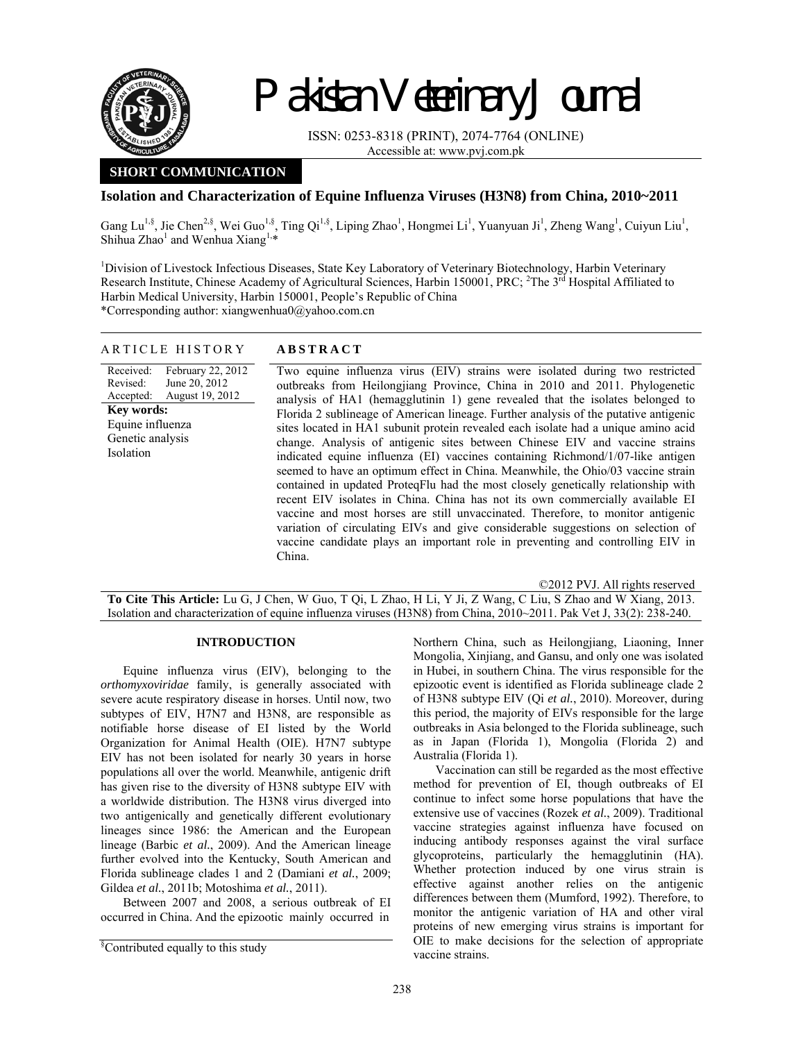

# Pakistan Veterinary Journal

ISSN: 0253-8318 (PRINT), 2074-7764 (ONLINE) Accessible at: www.pvj.com.pk

## **SHORT COMMUNICATION**

## **Isolation and Characterization of Equine Influenza Viruses (H3N8) from China, 2010~2011**

Gang Lu<sup>1,§</sup>, Jie Chen<sup>2,§</sup>, Wei Guo<sup>1,§</sup>, Ting Qi<sup>1,§</sup>, Liping Zhao<sup>1</sup>, Hongmei Li<sup>1</sup>, Yuanyuan Ji<sup>1</sup>, Zheng Wang<sup>1</sup>, Cuiyun Liu<sup>1</sup>, Shihua Zhao<sup>1</sup> and Wenhua Xiang<sup>1,\*</sup>

<sup>1</sup>Division of Livestock Infectious Diseases, State Key Laboratory of Veterinary Biotechnology, Harbin Veterinary Research Institute, Chinese Academy of Agricultural Sciences, Harbin 150001, PRC; <sup>2</sup>The 3<sup>rd</sup> Hospital Affiliated to Harbin Medical University, Harbin 150001, People's Republic of China \*Corresponding author: xiangwenhua0@yahoo.com.cn

ARTICLE HISTORY **ABSTRACT** 

Received: Revised: Accepted: February 22, 2012 June 20, 2012 August 19, 2012 **Key words:**  Equine influenza Genetic analysis Isolation

Two equine influenza virus (EIV) strains were isolated during two restricted outbreaks from Heilongjiang Province, China in 2010 and 2011. Phylogenetic analysis of HA1 (hemagglutinin 1) gene revealed that the isolates belonged to Florida 2 sublineage of American lineage. Further analysis of the putative antigenic sites located in HA1 subunit protein revealed each isolate had a unique amino acid change. Analysis of antigenic sites between Chinese EIV and vaccine strains indicated equine influenza (EI) vaccines containing Richmond/1/07-like antigen seemed to have an optimum effect in China. Meanwhile, the Ohio/03 vaccine strain contained in updated ProteqFlu had the most closely genetically relationship with recent EIV isolates in China. China has not its own commercially available EI vaccine and most horses are still unvaccinated. Therefore, to monitor antigenic variation of circulating EIVs and give considerable suggestions on selection of vaccine candidate plays an important role in preventing and controlling EIV in China.

©2012 PVJ. All rights reserved **To Cite This Article:** Lu G, J Chen, W Guo, T Qi, L Zhao, H Li, Y Ji, Z Wang, C Liu, S Zhao and W Xiang, 2013. Isolation and characterization of equine influenza viruses (H3N8) from China, 2010~2011. Pak Vet J, 33(2): 238-240.

### **INTRODUCTION**

Equine influenza virus (EIV), belonging to the *orthomyxoviridae* family, is generally associated with severe acute respiratory disease in horses. Until now, two subtypes of EIV, H7N7 and H3N8, are responsible as notifiable horse disease of EI listed by the World Organization for Animal Health (OIE). H7N7 subtype EIV has not been isolated for nearly 30 years in horse populations all over the world. Meanwhile, antigenic drift has given rise to the diversity of H3N8 subtype EIV with a worldwide distribution. The H3N8 virus diverged into two antigenically and genetically different evolutionary lineages since 1986: the American and the European lineage (Barbic *et al.*, 2009). And the American lineage further evolved into the Kentucky, South American and Florida sublineage clades 1 and 2 (Damiani *et al.*, 2009; Gildea *et al.*, 2011b; Motoshima *et al.*, 2011).

Between 2007 and 2008, a serious outbreak of EI occurred in China. And the epizootic mainly occurred in Northern China, such as Heilongjiang, Liaoning, Inner Mongolia, Xinjiang, and Gansu, and only one was isolated in Hubei, in southern China. The virus responsible for the epizootic event is identified as Florida sublineage clade 2 of H3N8 subtype EIV (Qi *et al.*, 2010). Moreover, during this period, the majority of EIVs responsible for the large outbreaks in Asia belonged to the Florida sublineage, such as in Japan (Florida 1), Mongolia (Florida 2) and Australia (Florida 1).

Vaccination can still be regarded as the most effective method for prevention of EI, though outbreaks of EI continue to infect some horse populations that have the extensive use of vaccines (Rozek *et al.*, 2009). Traditional vaccine strategies against influenza have focused on inducing antibody responses against the viral surface glycoproteins, particularly the hemagglutinin (HA). Whether protection induced by one virus strain is effective against another relies on the antigenic differences between them (Mumford, 1992). Therefore, to monitor the antigenic variation of HA and other viral proteins of new emerging virus strains is important for OIE to make decisions for the selection of appropriate vaccine strains.

<sup>§</sup> Contributed equally to this study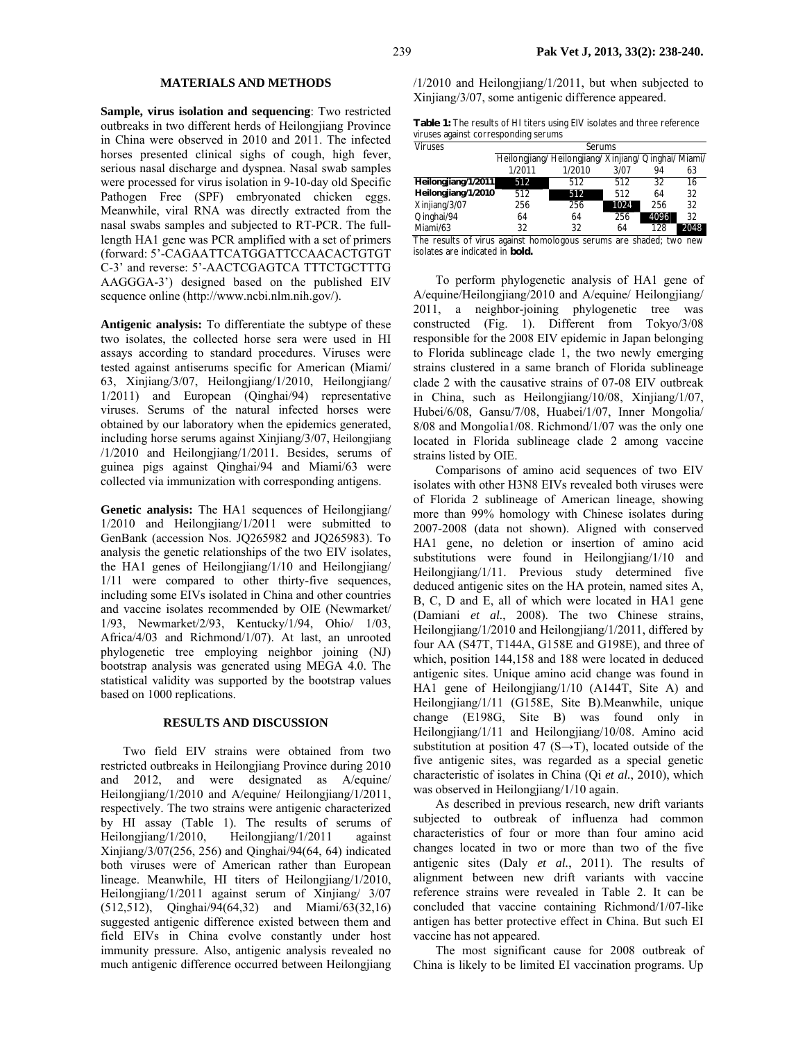### **MATERIALS AND METHODS**

**Sample, virus isolation and sequencing**: Two restricted outbreaks in two different herds of Heilongjiang Province in China were observed in 2010 and 2011. The infected horses presented clinical sighs of cough, high fever, serious nasal discharge and dyspnea. Nasal swab samples were processed for virus isolation in 9-10-day old Specific Pathogen Free (SPF) embryonated chicken eggs. Meanwhile, viral RNA was directly extracted from the nasal swabs samples and subjected to RT-PCR. The fulllength HA1 gene was PCR amplified with a set of primers (forward: 5'-CAGAATTCATGGATTCCAACACTGTGT C-3' and reverse: 5'-AACTCGAGTCA TTTCTGCTTTG AAGGGA-3') designed based on the published EIV sequence online (http://www.ncbi.nlm.nih.gov/).

**Antigenic analysis:** To differentiate the subtype of these two isolates, the collected horse sera were used in HI assays according to standard procedures. Viruses were tested against antiserums specific for American (Miami/ 63, Xinjiang/3/07, Heilongjiang/1/2010, Heilongjiang/ 1/2011) and European (Qinghai/94) representative viruses. Serums of the natural infected horses were obtained by our laboratory when the epidemics generated, including horse serums against Xinjiang/3/07, Heilongjiang /1/2010 and Heilongjiang/1/2011. Besides, serums of guinea pigs against Qinghai/94 and Miami/63 were collected via immunization with corresponding antigens.

**Genetic analysis:** The HA1 sequences of Heilongjiang/ 1/2010 and Heilongjiang/1/2011 were submitted to GenBank (accession Nos. JQ265982 and JQ265983). To analysis the genetic relationships of the two EIV isolates, the HA1 genes of Heilongjiang/1/10 and Heilongjiang/ 1/11 were compared to other thirty-five sequences, including some EIVs isolated in China and other countries and vaccine isolates recommended by OIE (Newmarket/ 1/93, Newmarket/2/93, Kentucky/1/94, Ohio/ 1/03, Africa/4/03 and Richmond/1/07). At last, an unrooted phylogenetic tree employing neighbor joining (NJ) bootstrap analysis was generated using MEGA 4.0. The statistical validity was supported by the bootstrap values based on 1000 replications.

### **RESULTS AND DISCUSSION**

Two field EIV strains were obtained from two restricted outbreaks in Heilongjiang Province during 2010 and 2012, and were designated as A/equine/ Heilongjiang/1/2010 and A/equine/ Heilongjiang/1/2011, respectively. The two strains were antigenic characterized by HI assay (Table 1). The results of serums of Heilongjiang/1/2010, Heilongjiang/1/2011 against Xinjiang/3/07(256, 256) and Qinghai/94(64, 64) indicated both viruses were of American rather than European lineage. Meanwhile, HI titers of Heilongjiang/1/2010, Heilongjiang/1/2011 against serum of Xinjiang/ 3/07 (512,512), Qinghai/94(64,32) and Miami/63(32,16) suggested antigenic difference existed between them and field EIVs in China evolve constantly under host immunity pressure. Also, antigenic analysis revealed no much antigenic difference occurred between Heilongjiang /1/2010 and Heilongjiang/1/2011, but when subjected to Xinjiang/3/07, some antigenic difference appeared.

**Table 1:** The results of HI titers using EIV isolates and three reference viruses against corresponding serums

| Viruses                                                               | Serums |                                                       |      |      |      |  |  |  |  |  |
|-----------------------------------------------------------------------|--------|-------------------------------------------------------|------|------|------|--|--|--|--|--|
|                                                                       |        | Heilongjiang/ Heilongjiang/ Xinjiang/ Qinghai/ Miami/ |      |      |      |  |  |  |  |  |
|                                                                       | 1/2011 | 1/2010                                                | 3/07 | 94   | 63   |  |  |  |  |  |
| Heilongjiang/1/2011                                                   | 512    | 512                                                   | 512  | 32   | 16   |  |  |  |  |  |
| Heilongjiang/1/2010                                                   | 512    | 512                                                   | 512  | 64   | 32   |  |  |  |  |  |
| Xinjiang/3/07                                                         | 256    | 256                                                   | 1024 | 256  | 32   |  |  |  |  |  |
| Qinghai/94                                                            | 64     | 64                                                    | 256  | 4096 | 32   |  |  |  |  |  |
| Miami/63                                                              | 32     | 32                                                    | 64   | 128  | 2048 |  |  |  |  |  |
| The second of stars contact board-board reasons and distributed three |        |                                                       |      |      |      |  |  |  |  |  |

The results of virus against homologous serums are shaded; two new isolates are indicated in **bold.**

To perform phylogenetic analysis of HA1 gene of A/equine/Heilongjiang/2010 and A/equine/ Heilongjiang/ 2011, a neighbor-joining phylogenetic tree was constructed (Fig. 1). Different from Tokyo/3/08 responsible for the 2008 EIV epidemic in Japan belonging to Florida sublineage clade 1, the two newly emerging strains clustered in a same branch of Florida sublineage clade 2 with the causative strains of 07-08 EIV outbreak in China, such as Heilongjiang/10/08, Xinjiang/1/07, Hubei/6/08, Gansu/7/08, Huabei/1/07, Inner Mongolia/ 8/08 and Mongolia1/08. Richmond/1/07 was the only one located in Florida sublineage clade 2 among vaccine strains listed by OIE.

Comparisons of amino acid sequences of two EIV isolates with other H3N8 EIVs revealed both viruses were of Florida 2 sublineage of American lineage, showing more than 99% homology with Chinese isolates during 2007-2008 (data not shown). Aligned with conserved HA1 gene, no deletion or insertion of amino acid substitutions were found in Heilongjiang/1/10 and Heilongjiang/1/11. Previous study determined five deduced antigenic sites on the HA protein, named sites A, B, C, D and E, all of which were located in HA1 gene (Damiani *et al.*, 2008). The two Chinese strains, Heilongjiang/1/2010 and Heilongjiang/1/2011, differed by four AA (S47T, T144A, G158E and G198E), and three of which, position 144,158 and 188 were located in deduced antigenic sites. Unique amino acid change was found in HA1 gene of Heilongjiang/1/10 (A144T, Site A) and Heilongjiang/1/11 (G158E, Site B).Meanwhile, unique change (E198G, Site B) was found only in Heilongjiang/1/11 and Heilongjiang/10/08. Amino acid substitution at position 47 (S $\rightarrow$ T), located outside of the five antigenic sites, was regarded as a special genetic characteristic of isolates in China (Qi *et al.*, 2010), which was observed in Heilongjiang/1/10 again.

As described in previous research, new drift variants subjected to outbreak of influenza had common characteristics of four or more than four amino acid changes located in two or more than two of the five antigenic sites (Daly *et al.*, 2011). The results of alignment between new drift variants with vaccine reference strains were revealed in Table 2. It can be concluded that vaccine containing Richmond/1/07-like antigen has better protective effect in China. But such EI vaccine has not appeared.

The most significant cause for 2008 outbreak of China is likely to be limited EI vaccination programs. Up